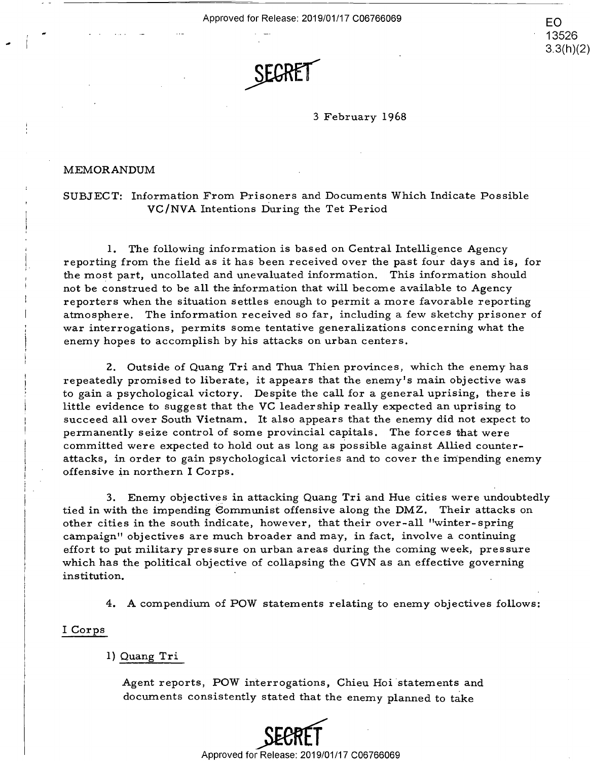Approved for Release: 2019/01/17 C06766069  $\mathsf{F}\cap\mathsf{B}$ 

.\_ .' '



3 February 1968 3 February 1 968

EO

13526 13526 3.3(h)(2) 3.3(h)(2)

#### MEMORANDUM MEMORANDUM

SUBJECT: Information From Prisoners and Documents Which Indicate Possible SUBJECT: Information From Prisoners and Documents Which Indicate Possible **VC/NVA** Intentions During the Tet Period VC/NVA Intentions During the Tet Period

I. The following information is based on Central Intelligence Agency 1. The following information is based on Central Intelligence Agency reporting from the field as it has been received over the past four days and is, for the most part, uncollated and unevaluated information. This information should the most part, uncollated and unevaluated information. This information should not be construed to be all the information that will become available to Agency not be construed to be all the information that will become available to Agency reporters when the situation settles enough to permit a more favorable reporting reporters when the situation settles enough to permit <sup>a</sup> more favorable reporting atmosphere. The information received so far, including a few sketchy prisoner of atmosphere. The information received so far, including <sup>a</sup> few sketchy prisoner of war interrogations, permits some tentative generalizations concerning what the war interrogations, permits some tentative generalizations concerning what the enemy hopes to accomplish by his attacks on urban centers. enemy h0pes to accomplish by his attacks on urban centers.

2. Outside of Quang Tri and Thua Thien provinces, which the enemy has 2. Outside of Quang Triand Thua Thien provinces, which the enemy has repeatedly promised to liberate, it appears that the enemy's main objective was repeatedly promised to liberate, it appears that the enemy's main objective was to gain a psychological victory. Despite the call for a general uprising, there is to gain <sup>a</sup> psychological victory. Despite the callfor <sup>a</sup> general uprising, there is little evidence to suggest that the VC leadership really expected an uprising to little evidence to suggest that the VC leadership really expected an uprising to succeed all over South Vietnam. It also appears that the enemy did not expect to permanently seize control of some provincial capitals. The forces that were permanently seize control of some provincial capitals. The forces that were committed were expected to hold out as long as possible against Allied counter-committed were expected to hold out as long as possible against Allied counter attacks, in order to gain psychological victories and to cover the impending enemy attacks, in order to gain psychological victories and to cover the impending enemy offensive in northern I Corps. offensive in northern I Corps. the most part, uncollated and unevaluated information. The most part and the one of the structure of the information received so far, including a more phere. The information received so far, including a more interrogations

3. Enemy objectives in attacking Quang Tri and Hue cities were undoubtedly tied in with the impending Communist offensive along the DMZ. Their attacks on other cities in the south indicate, however, that their over-all "winter-spring campaign" objectives are much broader and may, in fact, involve a continuing campaign" objectives are much broader and may, in fact, involve <sup>a</sup> continuing effort to put military pressure on urban areas during the coming week, pressure effort to put military pressure on urban areas during the coming week, pressure which has the political objective of collapsing the **GVN** as an effective governing which has the political objective of collapsing the GVN as an effective governing institution. institution. '

4. A compendium of POW statements relating to enemy objectives follows: 4. A compendium of POW statements relating to enemy objectives follows:

#### I Corps Corps I

# I) Quang Tri 1) Quang Tri

Agent reports, POW interrogations, Chieu Hoi statements and Agent reports, POW interrogations, Chieu Hoi statements and documents consistently stated that the enemy planned to take documents consistently stated that the enemy planned to take

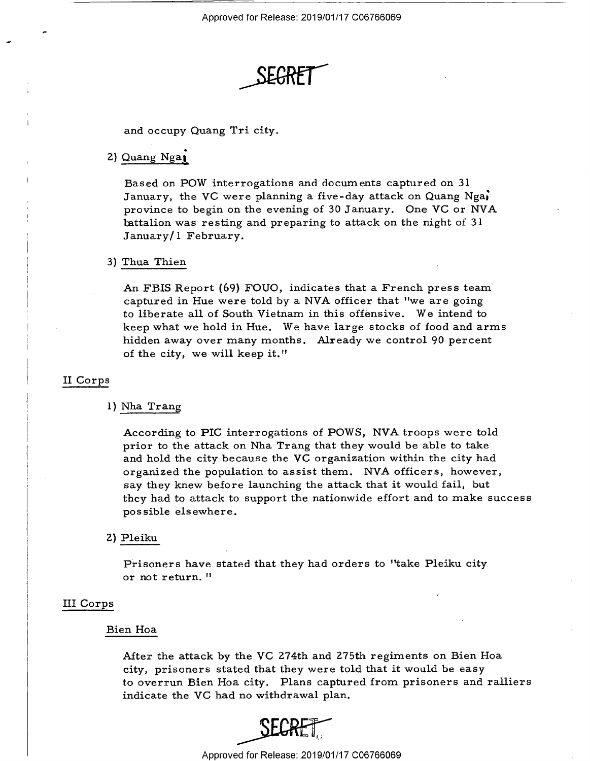SEGRET THE SEGRET

and occupy Quang Tri city. and occupy Quang Tri city.

#### 2) Quang Nga**i**

Based on POW interrogations and documents captured on 31 Based on POW interrogations and docurn ents captured on 31 January, the **VC** were planning a five-day attack on Quang Nga; January, the VC were planning <sup>a</sup> five-day attack on Quang Nga; province to begin on the evening of 30 January. One VC or NVA province to begin on the evening of 30 January. One VC or NVA battalion was resting and preparing to attack on the night of 31 January/I February. January/l February.

#### 3) Thua Thien

An FBIS Report (69} FOUO, indicates that a French press team An FBIS Report (69) FOUO, indicates that <sup>a</sup> French press team captured in Hue were told by a NVA officer that "we are going captured in Hue were told by <sup>a</sup> NVA. officer that "we are going to liberate all of South Vietnam in this offensive. We intend to to liberate all of South Vietnam in this offensive. We intend to keep what we hold in Hue. We have large stocks of food and arms hidden away over many months. Already we control 90 percent hidden away over many months. Already we control 90 percent of the city, we will keep it." of the city, we willkeep it."

# II Corps II Corps

# l} Nha Trang 1) Nha Trang

According to PIC interrogations of POWS, NVA troops were told prior to the attack on Nha Trang that they would be able to take prior to the attack on Nha Trang that they would be able to take and hold the city because the VC organization within the city had and hold the city because the VC organization within the city had organized the population to assist them. NVA officers, however, organized the population to assist them. NVA. officers, however, say they knew before launching the attack that it would fail, but say they knew before launching the attack that it would fail, but they had to attack to support the nationwide effort and to make success they had to attack to support the nationwide effort and to make success possible elsewhere. possible elsewhere. January/1 February.<br>
3) Thua Thien<br>
An PBIS Report (69) FOUO, indicates that a Fre<br>
captured in Hue were told by a NVA officer that<br>
to liberate all of South Victmann in this offensive<br>
hidden away over many months. Alrea

# 2) Pleiku 2) Pleiku

Prisoners have stated that they had orders to "take Pleiku city Prisoners have stated that they had orders to "take Pleiku city or not return. <sup>11</sup> or not return. "

# III Corps III Corps

#### Bien Hoa Bien Hoa

After the attack by the VC 274th and 275th regiments on Bien Hoa After the attack by the VC 274th and Z75th regiments on Bien Hoa city, prisoners stated that they were told that it would be easy city, prisoners stated that they were told that it would be easy to overrun Bien Hoa city. Plans captured from prisoners and ralliers to overrun Bien Hoa city. Plans captured from prisoners and ralliers indicate the VC had no withdrawal plan. indicate the VC had no withdrawal plan.



Approved for Release: 2019/01/17 006766069